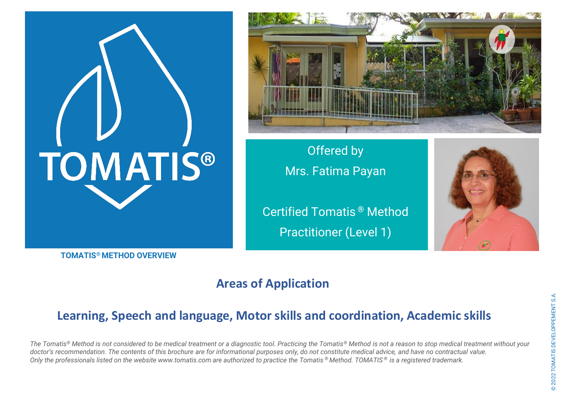# **TOMATIS®**



**Offered by** Mrs. Fatima Payan

Certified Tomatis **®** Method Practitioner (Level 1)



# **TOMATIS® METHOD OVERVIEW**

# **Areas of Application**

# **Learning, Speech and language, Motor skills and coordination, Academic skills**

*The Tomatis® Method is not considered to be medical treatment or a diagnostic tool. Practicing the Tomatis® Method is not a reason to stop medical treatment without your doctor's recommendation. The contents of this brochure are for informational purposes only, do not constitute medical advice, and have no contractual value. Only the professionals listed on the website www.tomatis.com are authorized to practice the Tomatis ® Method. TOMATIS ® is a registered trademark.*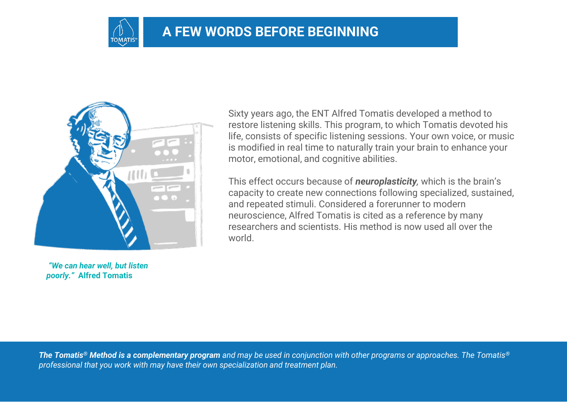

# **A FEW WORDS BEFORE BEGINNING**



*"We can hear well, but listen poorly."* **Alfred Tomatis**

Sixty years ago, the ENT Alfred Tomatis developed a method to restore listening skills. This program, to which Tomatis devoted his life, consists of specific listening sessions. Your own voice, or music is modified in real time to naturally train your brain to enhance your motor, emotional, and cognitive abilities.

This effect occurs because of *neuroplasticity,* which is the brain's capacity to create new connections following specialized, sustained, and repeated stimuli. Considered a forerunner to modern neuroscience, Alfred Tomatis is cited as a reference by many researchers and scientists. His method is now used all over the world.

*The Tomatis® Method is a complementary program and may be used in conjunction with other programs or approaches. The Tomatis® professional that you work with may have their own specialization and treatment plan.*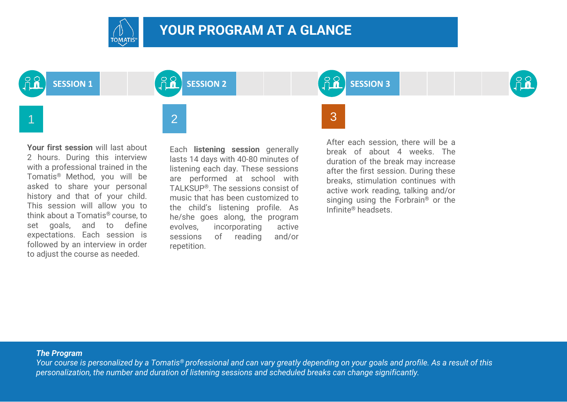

# **YOUR PROGRAM AT A GLANCE**



**Your first session** will last about 2 hours. During this interview with a professional trained in the Tomatis® Method, you will be asked to share your personal history and that of your child. This session will allow you to think about a Tomatis® course, to set goals, and to define expectations. Each session is followed by an interview in order to adjust the course as needed.

Each **listening session** generally lasts 14 days with 40-80 minutes of listening each day. These sessions are performed at school with TALKSUP®. The sessions consist of music that has been customized to the child's listening profile. As he/she goes along, the program evolves, incorporating active sessions of reading and/or repetition.

**SESSION 1 SESSION 2 SESSION 3**



After each session, there will be a break of about 4 weeks. The duration of the break may increase after the first session. During these breaks, stimulation continues with active work reading, talking and/or singing using the Forbrain® or the Infinite® headsets.

### *The Program*

*Your course is personalized by a Tomatis® professional and can vary greatly depending on your goals and profile. As a result of this personalization, the number and duration of listening sessions and scheduled breaks can change significantly.*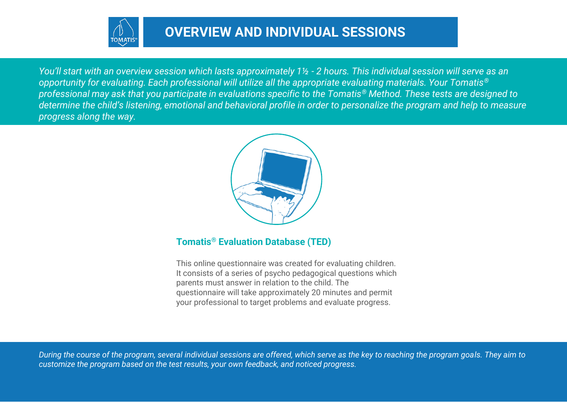

*You'll start with an overview session which lasts approximately 1½ - 2 hours. This individual session will serve as an opportunity for evaluating. Each professional will utilize all the appropriate evaluating materials. Your Tomatis® professional may ask that you participate in evaluations specific to the Tomatis® Method. These tests are designed to determine the child's listening, emotional and behavioral profile in order to personalize the program and help to measure progress along the way.* 



# **Tomatis® Evaluation Database (TED)**

This online questionnaire was created for evaluating children. It consists of a series of psycho pedagogical questions which parents must answer in relation to the child. The questionnaire will take approximately 20 minutes and permit your professional to target problems and evaluate progress.

*During the course of the program, several individual sessions are offered, which serve as the key to reaching the program goals. They aim to customize the program based on the test results, your own feedback, and noticed progress.*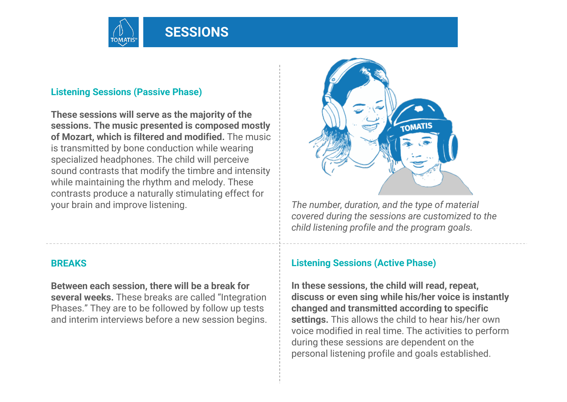

# **Listening Sessions (Passive Phase)**

**These sessions will serve as the majority of the sessions. The music presented is composed mostly of Mozart, which is filtered and modified.** The music is transmitted by bone conduction while wearing specialized headphones. The child will perceive sound contrasts that modify the timbre and intensity while maintaining the rhythm and melody. These contrasts produce a naturally stimulating effect for your brain and improve listening.

# **BREAKS**

**Between each session, there will be a break for several weeks.** These breaks are called "Integration Phases." They are to be followed by follow up tests and interim interviews before a new session begins.



*The number, duration, and the type of material covered during the sessions are customized to the child listening profile and the program goals.* 

# **Listening Sessions (Active Phase)**

**In these sessions, the child will read, repeat, discuss or even sing while his/her voice is instantly changed and transmitted according to specific settings.** This allows the child to hear his/her own voice modified in real time. The activities to perform during these sessions are dependent on the personal listening profile and goals established.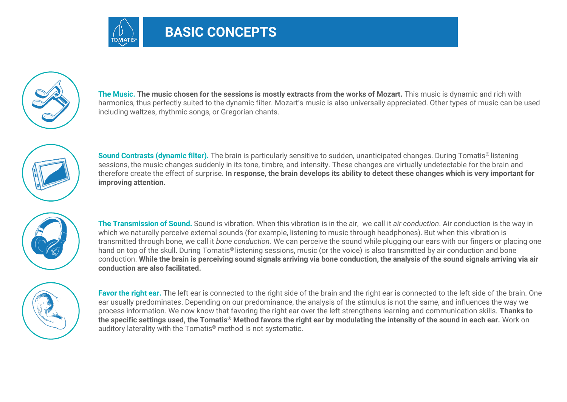



**The Music. The music chosen for the sessions is mostly extracts from the works of Mozart.** This music is dynamic and rich with harmonics, thus perfectly suited to the dynamic filter. Mozart's music is also universally appreciated. Other types of music can be used including waltzes, rhythmic songs, or Gregorian chants.



**Sound Contrasts (dynamic filter).** The brain is particularly sensitive to sudden, unanticipated changes. During Tomatis<sup>®</sup> listening sessions, the music changes suddenly in its tone, timbre, and intensity. These changes are virtually undetectable for the brain and therefore create the effect of surprise. **In response, the brain develops its ability to detect these changes which is very important for improving attention.** 



**The Transmission of Sound.** Sound is vibration. When this vibration is in the air, we call it *air conduction*. Air conduction is the way in which we naturally perceive external sounds (for example, listening to music through headphones). But when this vibration is transmitted through bone, we call it *bone conduction.* We can perceive the sound while plugging our ears with our fingers or placing one hand on top of the skull. During Tomatis® listening sessions, music (or the voice) is also transmitted by air conduction and bone conduction. **While the brain is perceiving sound signals arriving via bone conduction, the analysis of the sound signals arriving via air conduction are also facilitated.** 



**Favor the right ear.** The left ear is connected to the right side of the brain and the right ear is connected to the left side of the brain. One ear usually predominates. Depending on our predominance, the analysis of the stimulus is not the same, and influences the way we process information. We now know that favoring the right ear over the left strengthens learning and communication skills. **Thanks to the specific settings used, the Tomatis® Method favors the right ear by modulating the intensity of the sound in each ear.** Work on auditory laterality with the Tomatis® method is not systematic.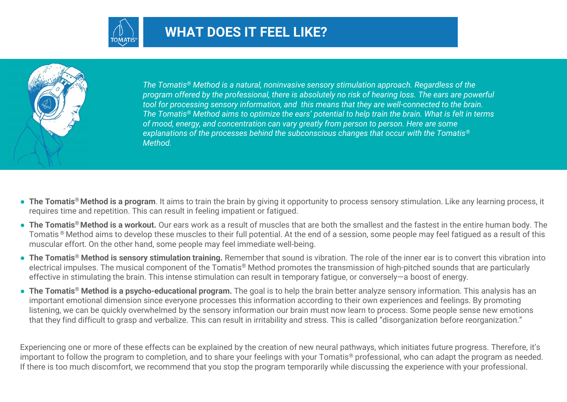



*The Tomatis® Method is a natural, noninvasive sensory stimulation approach. Regardless of the program offered by the professional, there is absolutely no risk of hearing loss. The ears are powerful tool for processing sensory information, and this means that they are well-connected to the brain. The Tomatis® Method aims to optimize the ears' potential to help train the brain. What is felt in terms of mood, energy, and concentration can vary greatly from person to person. Here are some explanations of the processes behind the subconscious changes that occur with the Tomatis® Method.* 

- **The Tomatis® Method is a program**. It aims to train the brain by giving it opportunity to process sensory stimulation. Like any learning process, it requires time and repetition. This can result in feeling impatient or fatigued.
- **The Tomatis® Method is a workout.** Our ears work as a result of muscles that are both the smallest and the fastest in the entire human body. The Tomatis ® Method aims to develop these muscles to their full potential. At the end of a session, some people may feel fatigued as a result of this muscular effort. On the other hand, some people may feel immediate well-being.
- **The Tomatis® Method is sensory stimulation training.** Remember that sound is vibration. The role of the inner ear is to convert this vibration into electrical impulses. The musical component of the Tomatis® Method promotes the transmission of high-pitched sounds that are particularly effective in stimulating the brain. This intense stimulation can result in temporary fatigue, or conversely—a boost of energy.
- **The Tomatis® Method is a psycho-educational program.** The goal is to help the brain better analyze sensory information. This analysis has an important emotional dimension since everyone processes this information according to their own experiences and feelings. By promoting listening, we can be quickly overwhelmed by the sensory information our brain must now learn to process. Some people sense new emotions that they find difficult to grasp and verbalize. This can result in irritability and stress. This is called "disorganization before reorganization."

Experiencing one or more of these effects can be explained by the creation of new neural pathways, which initiates future progress. Therefore, it's important to follow the program to completion, and to share your feelings with your Tomatis® professional, who can adapt the program as needed. If there is too much discomfort, we recommend that you stop the program temporarily while discussing the experience with your professional.